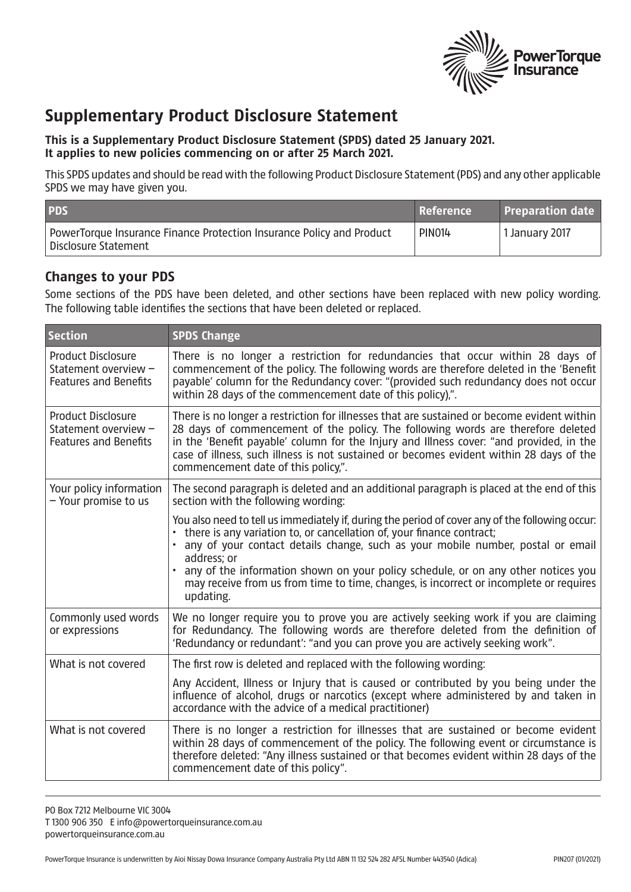

## **Supplementary Product Disclosure Statement**

## **This is a Supplementary Product Disclosure Statement (SPDS) dated 25 January 2021. It applies to new policies commencing on or after 25 March 2021.**

This SPDS updates and should be read with the following Product Disclosure Statement (PDS) and any other applicable SPDS we may have given you.

| <b>PDS</b>                                                                                    | <b>Reference</b> | <b>Preparation date</b>     |
|-----------------------------------------------------------------------------------------------|------------------|-----------------------------|
| PowerTorque Insurance Finance Protection Insurance Policy and Product<br>Disclosure Statement | <b>PIN014</b>    | <sup>1</sup> 1 January 2017 |

## **Changes to your PDS**

Some sections of the PDS have been deleted, and other sections have been replaced with new policy wording. The following table identifies the sections that have been deleted or replaced.

| <b>Section</b>                                                                    | <b>SPDS Change</b>                                                                                                                                                                                                                                                                                                                                                                                                                                                                  |
|-----------------------------------------------------------------------------------|-------------------------------------------------------------------------------------------------------------------------------------------------------------------------------------------------------------------------------------------------------------------------------------------------------------------------------------------------------------------------------------------------------------------------------------------------------------------------------------|
| <b>Product Disclosure</b><br>Statement overview -<br><b>Features and Benefits</b> | There is no longer a restriction for redundancies that occur within 28 days of<br>commencement of the policy. The following words are therefore deleted in the 'Benefit<br>payable' column for the Redundancy cover: "(provided such redundancy does not occur<br>within 28 days of the commencement date of this policy),".                                                                                                                                                        |
| <b>Product Disclosure</b><br>Statement overview -<br><b>Features and Benefits</b> | There is no longer a restriction for illnesses that are sustained or become evident within<br>28 days of commencement of the policy. The following words are therefore deleted<br>in the 'Benefit payable' column for the Injury and Illness cover: "and provided, in the<br>case of illness, such illness is not sustained or becomes evident within 28 days of the<br>commencement date of this policy,".                                                                         |
| Your policy information<br>- Your promise to us                                   | The second paragraph is deleted and an additional paragraph is placed at the end of this<br>section with the following wording:                                                                                                                                                                                                                                                                                                                                                     |
|                                                                                   | You also need to tell us immediately if, during the period of cover any of the following occur:<br>there is any variation to, or cancellation of, your finance contract;<br>any of your contact details change, such as your mobile number, postal or email<br>address; or<br>any of the information shown on your policy schedule, or on any other notices you<br>$\bullet$<br>may receive from us from time to time, changes, is incorrect or incomplete or requires<br>updating. |
| Commonly used words<br>or expressions                                             | We no longer require you to prove you are actively seeking work if you are claiming<br>for Redundancy. The following words are therefore deleted from the definition of<br>'Redundancy or redundant': "and you can prove you are actively seeking work".                                                                                                                                                                                                                            |
| What is not covered                                                               | The first row is deleted and replaced with the following wording:                                                                                                                                                                                                                                                                                                                                                                                                                   |
|                                                                                   | Any Accident, Illness or Injury that is caused or contributed by you being under the<br>influence of alcohol, drugs or narcotics (except where administered by and taken in<br>accordance with the advice of a medical practitioner)                                                                                                                                                                                                                                                |
| What is not covered                                                               | There is no longer a restriction for illnesses that are sustained or become evident<br>within 28 days of commencement of the policy. The following event or circumstance is<br>therefore deleted: "Any illness sustained or that becomes evident within 28 days of the<br>commencement date of this policy".                                                                                                                                                                        |

PO Box 7212 Melbourne VIC 3004 T 1300 906 350 E info@powertorqueinsurance.com.au powertorqueinsurance.com.au